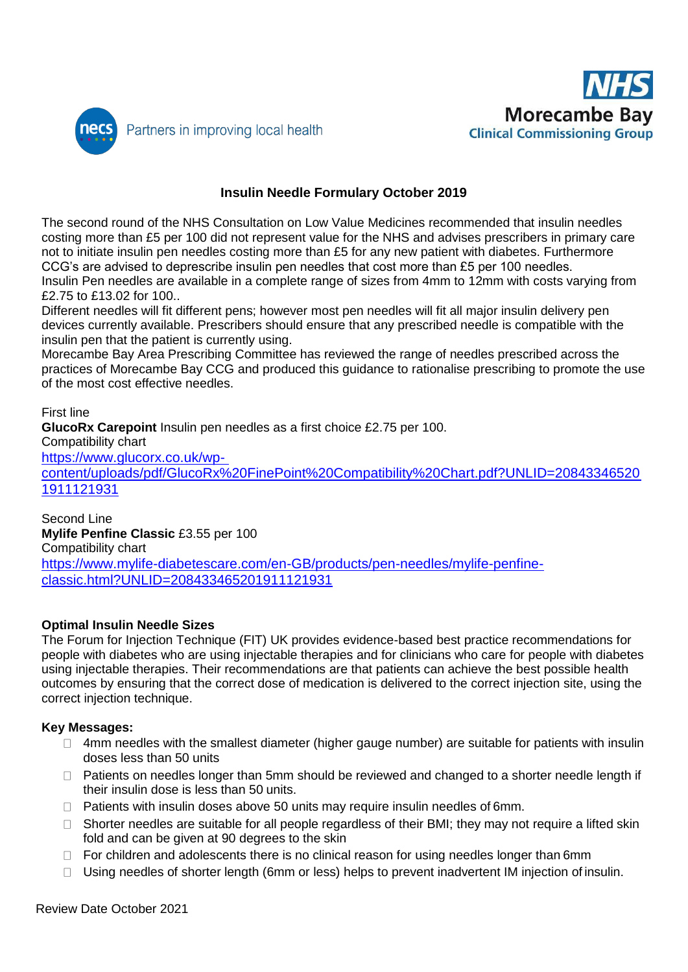



# **Insulin Needle Formulary October 2019**

The second round of the NHS Consultation on Low Value Medicines recommended that insulin needles costing more than £5 per 100 did not represent value for the NHS and advises prescribers in primary care not to initiate insulin pen needles costing more than £5 for any new patient with diabetes. Furthermore CCG's are advised to deprescribe insulin pen needles that cost more than £5 per 100 needles. Insulin Pen needles are available in a complete range of sizes from 4mm to 12mm with costs varying from

£2.75 to £13.02 for 100.. Different needles will fit different pens; however most pen needles will fit all major insulin delivery pen devices currently available. Prescribers should ensure that any prescribed needle is compatible with the insulin pen that the patient is currently using.

Morecambe Bay Area Prescribing Committee has reviewed the range of needles prescribed across the practices of Morecambe Bay CCG and produced this guidance to rationalise prescribing to promote the use of the most cost effective needles.

#### First line

**GlucoRx Carepoint** Insulin pen needles as a first choice £2.75 per 100. Compatibility chart [https://www.glucorx.co.uk/wp](https://www.glucorx.co.uk/wp-content/uploads/pdf/GlucoRx%20FinePoint%20Compatibility%20Chart.pdf?UNLID=208433465201911121931)[content/uploads/pdf/GlucoRx%20FinePoint%20Compatibility%20Chart.pdf?UNLID=20843346520](https://www.glucorx.co.uk/wp-content/uploads/pdf/GlucoRx%20FinePoint%20Compatibility%20Chart.pdf?UNLID=208433465201911121931) [1911121931](https://www.glucorx.co.uk/wp-content/uploads/pdf/GlucoRx%20FinePoint%20Compatibility%20Chart.pdf?UNLID=208433465201911121931)

Second Line **Mylife Penfine Classic** £3.55 per 100 Compatibility chart [https://www.mylife-diabetescare.com/en-GB/products/pen-needles/mylife-penfine](https://www.mylife-diabetescare.com/en-GB/products/pen-needles/mylife-penfine-classic.html?UNLID=208433465201911121931)[classic.html?UNLID=208433465201911121931](https://www.mylife-diabetescare.com/en-GB/products/pen-needles/mylife-penfine-classic.html?UNLID=208433465201911121931)

#### **Optimal Insulin Needle Sizes**

The Forum for Injection Technique (FIT) UK provides evidence-based best practice recommendations for people with diabetes who are using injectable therapies and for clinicians who care for people with diabetes using injectable therapies. Their recommendations are that patients can achieve the best possible health outcomes by ensuring that the correct dose of medication is delivered to the correct injection site, using the correct injection technique.

#### **Key Messages:**

- $\Box$  4mm needles with the smallest diameter (higher gauge number) are suitable for patients with insulin doses less than 50 units
- □ Patients on needles longer than 5mm should be reviewed and changed to a shorter needle length if their insulin dose is less than 50 units.
- $\Box$  Patients with insulin doses above 50 units may require insulin needles of 6mm.
- $\Box$  Shorter needles are suitable for all people regardless of their BMI; they may not require a lifted skin fold and can be given at 90 degrees to the skin
- $\Box$  For children and adolescents there is no clinical reason for using needles longer than 6mm
- $\Box$  Using needles of shorter length (6mm or less) helps to prevent inadvertent IM injection of insulin.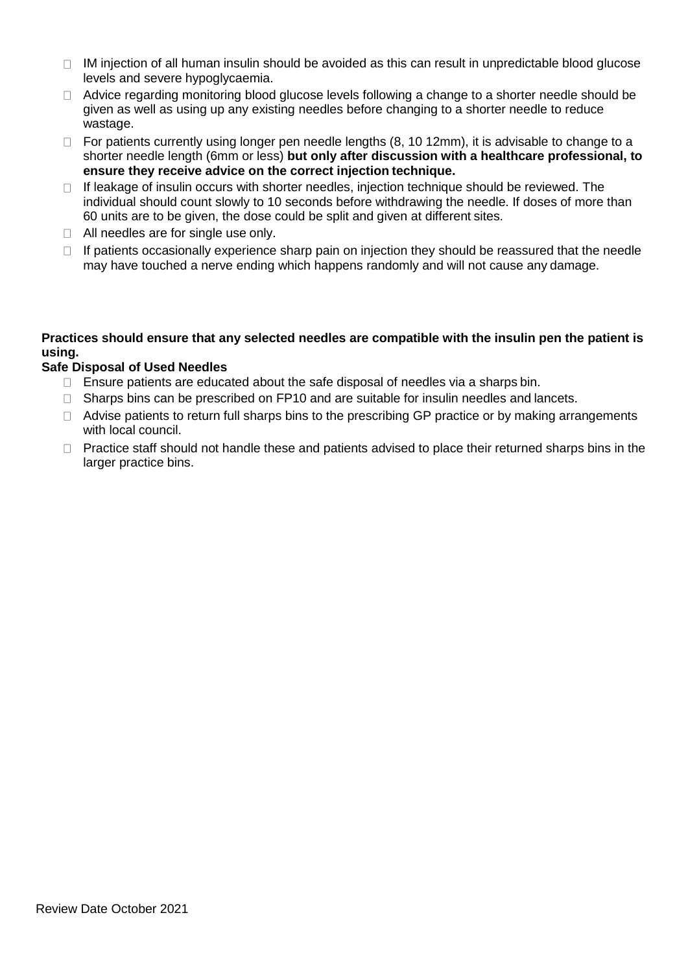- $\Box$  IM injection of all human insulin should be avoided as this can result in unpredictable blood glucose levels and severe hypoglycaemia.
- $\Box$  Advice regarding monitoring blood glucose levels following a change to a shorter needle should be given as well as using up any existing needles before changing to a shorter needle to reduce wastage.
- $\Box$  For patients currently using longer pen needle lengths (8, 10 12mm), it is advisable to change to a shorter needle length (6mm or less) **but only after discussion with a healthcare professional, to ensure they receive advice on the correct injection technique.**
- $\Box$  If leakage of insulin occurs with shorter needles, injection technique should be reviewed. The individual should count slowly to 10 seconds before withdrawing the needle. If doses of more than 60 units are to be given, the dose could be split and given at different sites.
- □ All needles are for single use only.
- $\Box$  If patients occasionally experience sharp pain on injection they should be reassured that the needle may have touched a nerve ending which happens randomly and will not cause any damage.

### **Practices should ensure that any selected needles are compatible with the insulin pen the patient is using.**

### **Safe Disposal of Used Needles**

- $\Box$  Ensure patients are educated about the safe disposal of needles via a sharps bin.
- $\Box$  Sharps bins can be prescribed on FP10 and are suitable for insulin needles and lancets.
- $\Box$  Advise patients to return full sharps bins to the prescribing GP practice or by making arrangements with local council.
- $\Box$  Practice staff should not handle these and patients advised to place their returned sharps bins in the larger practice bins.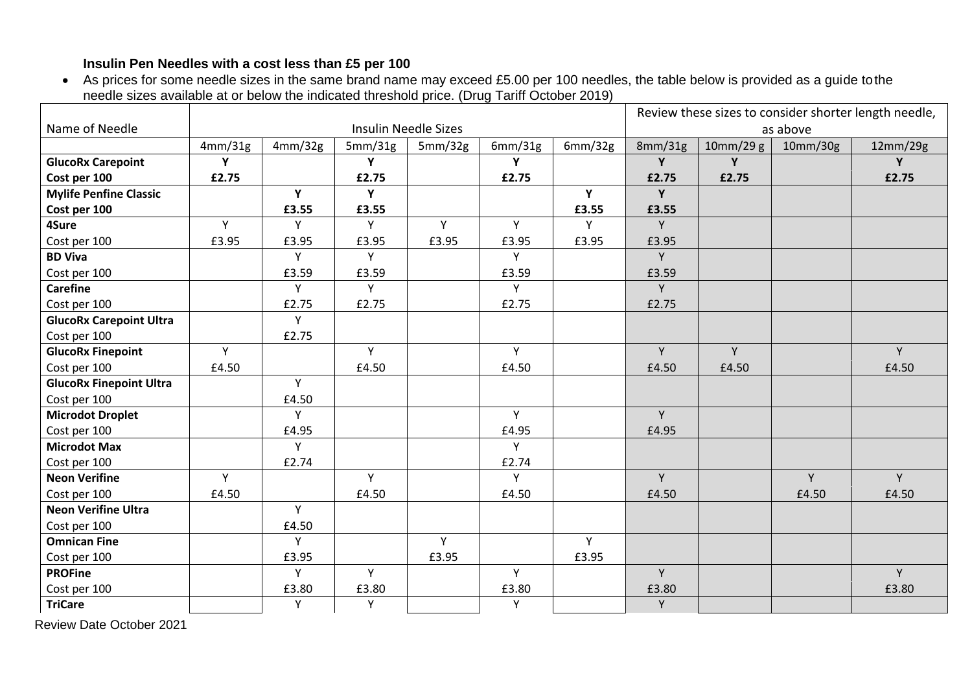## **Insulin Pen Needles with a cost less than £5 per 100**

 As prices for some needle sizes in the same brand name may exceed £5.00 per 100 needles, the table below is provided as a guide tothe needle sizes available at or below the indicated threshold price. (Drug Tariff October 2019)

|                                |         |                             |         |         |         |         | Review these sizes to consider shorter length needle, |           |          |          |  |
|--------------------------------|---------|-----------------------------|---------|---------|---------|---------|-------------------------------------------------------|-----------|----------|----------|--|
| Name of Needle                 |         | <b>Insulin Needle Sizes</b> |         |         |         |         |                                                       | as above  |          |          |  |
|                                | 4mm/31g | 4mm/32g                     | 5mm/31g | 5mm/32g | 6mm/31g | 6mm/32g | 8mm/31g                                               | 10mm/29 g | 10mm/30g | 12mm/29g |  |
| <b>GlucoRx Carepoint</b>       | Y       |                             | Y       |         | Y       |         | Y                                                     | Y         |          | Y        |  |
| Cost per 100                   | £2.75   |                             | £2.75   |         | £2.75   |         | £2.75                                                 | £2.75     |          | £2.75    |  |
| <b>Mylife Penfine Classic</b>  |         | Y                           | Y       |         |         | Y       | Y                                                     |           |          |          |  |
| Cost per 100                   |         | £3.55                       | £3.55   |         |         | £3.55   | £3.55                                                 |           |          |          |  |
| 4Sure                          | Y       | Y                           | Y       | Y       | Y       | Y       | Y.                                                    |           |          |          |  |
| Cost per 100                   | £3.95   | £3.95                       | £3.95   | £3.95   | £3.95   | £3.95   | £3.95                                                 |           |          |          |  |
| <b>BD Viva</b>                 |         | Y                           | Y       |         | Y       |         | Y.                                                    |           |          |          |  |
| Cost per 100                   |         | £3.59                       | £3.59   |         | £3.59   |         | £3.59                                                 |           |          |          |  |
| <b>Carefine</b>                |         | Y                           | Y       |         | Y       |         | Y                                                     |           |          |          |  |
| Cost per 100                   |         | £2.75                       | £2.75   |         | £2.75   |         | £2.75                                                 |           |          |          |  |
| <b>GlucoRx Carepoint Ultra</b> |         | Y                           |         |         |         |         |                                                       |           |          |          |  |
| Cost per 100                   |         | £2.75                       |         |         |         |         |                                                       |           |          |          |  |
| <b>GlucoRx Finepoint</b>       | Y       |                             | Y       |         | Y       |         | Y                                                     | Y         |          | Y        |  |
| Cost per 100                   | £4.50   |                             | £4.50   |         | £4.50   |         | £4.50                                                 | £4.50     |          | £4.50    |  |
| <b>GlucoRx Finepoint Ultra</b> |         | Y                           |         |         |         |         |                                                       |           |          |          |  |
| Cost per 100                   |         | £4.50                       |         |         |         |         |                                                       |           |          |          |  |
| <b>Microdot Droplet</b>        |         | Y                           |         |         | Y       |         | Y                                                     |           |          |          |  |
| Cost per 100                   |         | £4.95                       |         |         | £4.95   |         | £4.95                                                 |           |          |          |  |
| <b>Microdot Max</b>            |         | Y                           |         |         | Y       |         |                                                       |           |          |          |  |
| Cost per 100                   |         | £2.74                       |         |         | £2.74   |         |                                                       |           |          |          |  |
| <b>Neon Verifine</b>           | Y       |                             | Y       |         | Y       |         | Y                                                     |           | Y        | Y        |  |
| Cost per 100                   | £4.50   |                             | £4.50   |         | £4.50   |         | £4.50                                                 |           | £4.50    | £4.50    |  |
| <b>Neon Verifine Ultra</b>     |         | Y                           |         |         |         |         |                                                       |           |          |          |  |
| Cost per 100                   |         | £4.50                       |         |         |         |         |                                                       |           |          |          |  |
| <b>Omnican Fine</b>            |         | Y                           |         | Y       |         | Y       |                                                       |           |          |          |  |
| Cost per 100                   |         | £3.95                       |         | £3.95   |         | £3.95   |                                                       |           |          |          |  |
| <b>PROFine</b>                 |         | Y                           | Y       |         | Y       |         | Y.                                                    |           |          | Y        |  |
| Cost per 100                   |         | £3.80                       | £3.80   |         | £3.80   |         | £3.80                                                 |           |          | £3.80    |  |
| <b>TriCare</b>                 |         | Y                           | Y       |         | Y       |         | Y                                                     |           |          |          |  |

Review Date October 2021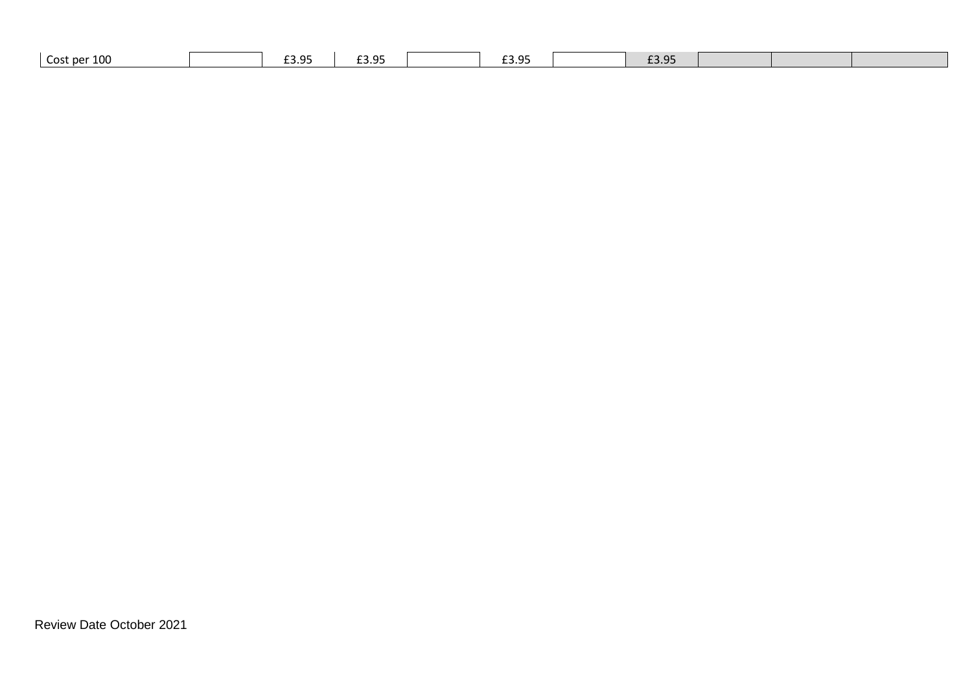| -----<br>__._<br>_ _ _<br>--- | Cost per 100 | ח כם | ם מפ | -- --<br>ח כ | ם כם |  |  |  |
|-------------------------------|--------------|------|------|--------------|------|--|--|--|
|-------------------------------|--------------|------|------|--------------|------|--|--|--|